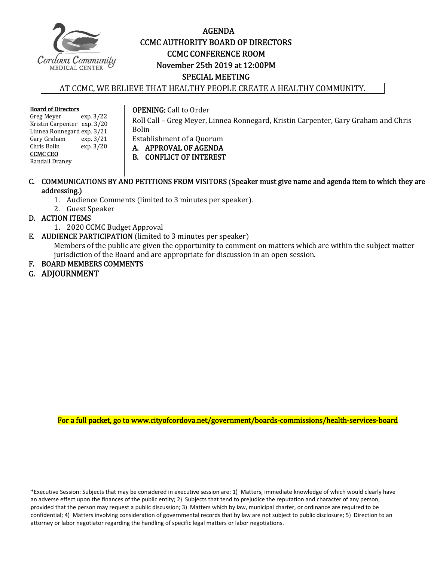

# AGENDA CCMC AUTHORITY BOARD OF DIRECTORS **CCMC CONFERENCE ROOM**  November 25th 2019 at 12:00PM SPECIAL MEETING

## AT CCMC, WE BELIEVE THAT HEALTHY PEOPLE CREATE A HEALTHY COMMUNITY.

**Board of Directors**<br>Greg Meyer exp. 3/22 Greg Meyer Kristin Carpenter exp. 3/20 Linnea Ronnegard exp. 3/21<br>Gary Graham exp. 3/21 Gary Graham<br>Chris Bolin  $\exp.3/20$ CCMC CEO Randall Draney 

**OPENING:** Call to Order

Roll Call - Greg Meyer, Linnea Ronnegard, Kristin Carpenter, Gary Graham and Chris Bolin 

Establishment of a Quorum

A. APPROVAL OF AGENDA

B. CONFLICT OF INTEREST

# C. COMMUNICATIONS BY AND PETITIONS FROM VISITORS (Speaker must give name and agenda item to which they are addressing.)

- 1. Audience Comments (limited to 3 minutes per speaker).
- 2. Guest Speaker

# D. ACTION ITEMS

- 1. 2020 CCMC Budget Approval
- E. AUDIENCE PARTICIPATION (limited to 3 minutes per speaker)

Members of the public are given the opportunity to comment on matters which are within the subject matter jurisdiction of the Board and are appropriate for discussion in an open session.

F. BOARD MEMBERS COMMENTS

# G. ADJOURNMENT

For a full packet, go to www.cityofcordova.net/government/boards-commissions/health-services-board

\*Executive Session: Subjects that may be considered in executive session are: 1) Matters, immediate knowledge of which would clearly have an adverse effect upon the finances of the public entity; 2) Subjects that tend to prejudice the reputation and character of any person, provided that the person may request a public discussion; 3) Matters which by law, municipal charter, or ordinance are required to be confidential; 4) Matters involving consideration of governmental records that by law are not subject to public disclosure; 5) Direction to an attorney or labor negotiator regarding the handling of specific legal matters or labor negotiations.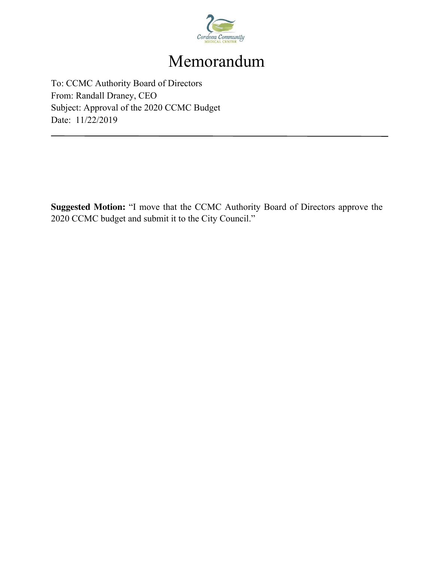

# Memorandum

To: CCMC Authority Board of Directors From: Randall Draney, CEO Subject: Approval of the 2020 CCMC Budget Date: 11/22/2019

**Suggested Motion:** "I move that the CCMC Authority Board of Directors approve the 2020 CCMC budget and submit it to the City Council."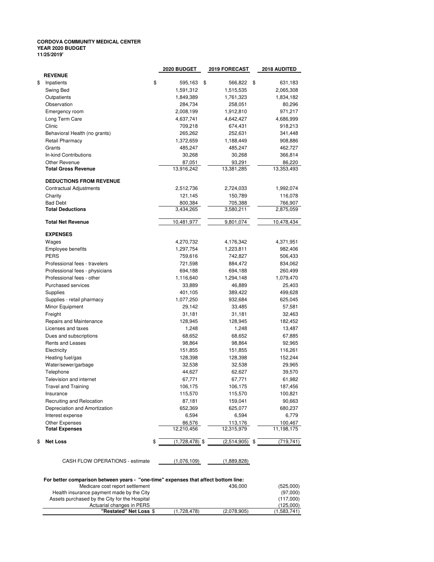### **CORDOVA COMMUNITY MEDICAL CENTER YEAR 2020 BUDGET 11/25/2019'**

| 2020 BUDGET<br>2018 AUDITED<br><b>2019 FORECAST</b>             |
|-----------------------------------------------------------------|
|                                                                 |
| \$<br>595,163<br>\$<br>566,822<br>\$<br>631,183                 |
| 1,591,312<br>1,515,535<br>2,065,308                             |
| 1,849,389<br>1,761,323<br>1,834,182                             |
| 284,734<br>258,051<br>80,296                                    |
| 1,912,810<br>2,008,199<br>971,217                               |
| 4,637,741<br>4,642,427<br>4,686,999                             |
| 709,218<br>674,431<br>918,213                                   |
| 265,262<br>252,631<br>341,448                                   |
| 1,372,659<br>1,188,449<br>908,886                               |
| 485,247<br>485,247<br>462,727                                   |
| 30,268<br>30,268<br>366,814                                     |
| 87,051<br>93,291<br>86,220                                      |
| 13,916,242<br>13,381,285<br>13,353,493                          |
| <b>DEDUCTIONS FROM REVENUE</b>                                  |
| 2,512,736<br>2,724,033<br>1,992,074                             |
| 121,145<br>150,789<br>116,078                                   |
| 800,384<br>705,388<br>766,907                                   |
| 3,434,265<br>3,580,211<br>2,875,059                             |
| 10,478,434<br>10,481,977<br>9,801,074                           |
|                                                                 |
| 4,270,732<br>4,176,342<br>4,371,951                             |
| 1,297,754<br>1,223,811<br>982,406                               |
| 759,616<br>742,827<br>506,433                                   |
| 721,598<br>884,472<br>834,062                                   |
| 694,188<br>694,188<br>260,499                                   |
| 1,116,640<br>1,294,148<br>1,079,470                             |
| 33,889<br>46,889<br>25,403                                      |
| 401,105<br>389,422<br>499,628                                   |
| 1,077,250<br>932,684<br>625,045                                 |
| 29,142<br>33,485<br>57,581                                      |
| 31,181<br>31,181<br>32,463                                      |
| 128,945<br>128,945<br>182,452                                   |
| 1,248<br>1,248<br>13,487                                        |
| 68,652<br>68,652<br>67,885                                      |
| 98,864                                                          |
| 98,864<br>92,965<br>151,855                                     |
| 151,855<br>116,261                                              |
| 128,398<br>128,398<br>152,244                                   |
| 32,538<br>32,538<br>29,965                                      |
| 44,627<br>62,627<br>39,570                                      |
| 67,771<br>67,771<br>61,982                                      |
| 106,175<br>106,175<br>187,456                                   |
| 115,570<br>115,570<br>100,821                                   |
| 87,181<br>159,041<br>90,663                                     |
| 652,369<br>625,077<br>680,237                                   |
| 6,779                                                           |
| 100,467                                                         |
| 11,198,175                                                      |
| $(1,728,478)$ \$<br>$(2,514,905)$ \$<br>(719, 741)<br>\$        |
| 6,594<br>6,594<br>86,576<br>113,176<br>12,210,456<br>12,315,979 |

CASH FLOW OPERATIONS - estimate (1,076,109) (1,889,828)

### **For better comparison between years - "one-time" expenses that affect bottom line:**

| Medicare cost report settlement               |             | 436,000     | (525,000)   |
|-----------------------------------------------|-------------|-------------|-------------|
| Health insurance payment made by the City     |             |             | (97.000)    |
| Assets purchased by the City for the Hospital |             |             | (117.000)   |
| Actuarial changes in PERS                     |             |             | (125.000)   |
| "Restated" Net Loss \$                        | (1,728,478) | (2,078,905) | (1,583,741) |